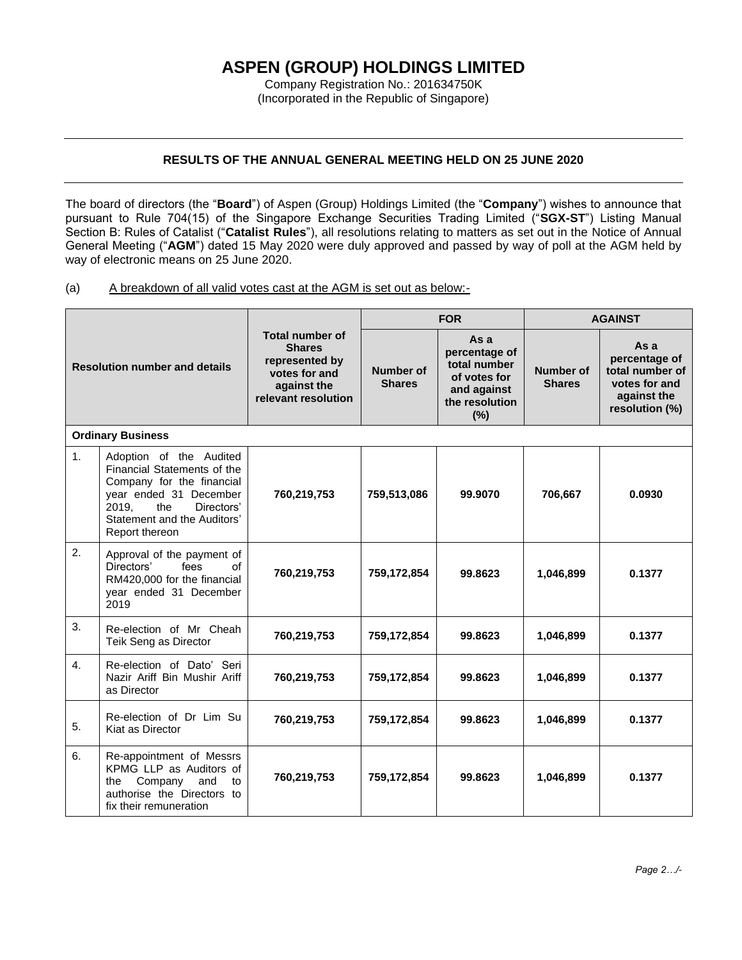## **ASPEN (GROUP) HOLDINGS LIMITED**

Company Registration No.: 201634750K (Incorporated in the Republic of Singapore)

## **RESULTS OF THE ANNUAL GENERAL MEETING HELD ON 25 JUNE 2020**

The board of directors (the "**Board**") of Aspen (Group) Holdings Limited (the "**Company**") wishes to announce that pursuant to Rule 704(15) of the Singapore Exchange Securities Trading Limited ("**SGX-ST**") Listing Manual Section B: Rules of Catalist ("**Catalist Rules**"), all resolutions relating to matters as set out in the Notice of Annual General Meeting ("**AGM**") dated 15 May 2020 were duly approved and passed by way of poll at the AGM held by way of electronic means on 25 June 2020.

(a) A breakdown of all valid votes cast at the AGM is set out as below:-

| <b>Resolution number and details</b> |                                                                                                                                                                                              | <b>Total number of</b><br><b>Shares</b><br>represented by<br>votes for and<br>against the<br>relevant resolution | <b>FOR</b>                        |                                                                                               | <b>AGAINST</b>             |                                                                                            |  |  |  |
|--------------------------------------|----------------------------------------------------------------------------------------------------------------------------------------------------------------------------------------------|------------------------------------------------------------------------------------------------------------------|-----------------------------------|-----------------------------------------------------------------------------------------------|----------------------------|--------------------------------------------------------------------------------------------|--|--|--|
|                                      |                                                                                                                                                                                              |                                                                                                                  | <b>Number of</b><br><b>Shares</b> | As a<br>percentage of<br>total number<br>of votes for<br>and against<br>the resolution<br>(%) | Number of<br><b>Shares</b> | As a<br>percentage of<br>total number of<br>votes for and<br>against the<br>resolution (%) |  |  |  |
| <b>Ordinary Business</b>             |                                                                                                                                                                                              |                                                                                                                  |                                   |                                                                                               |                            |                                                                                            |  |  |  |
| 1.                                   | Adoption of the Audited<br>Financial Statements of the<br>Company for the financial<br>year ended 31 December<br>2019.<br>the<br>Directors'<br>Statement and the Auditors'<br>Report thereon | 760,219,753                                                                                                      | 759,513,086                       | 99,9070                                                                                       | 706,667                    | 0.0930                                                                                     |  |  |  |
| 2.                                   | Approval of the payment of<br>of<br>Directors'<br>fees<br>RM420,000 for the financial<br>year ended 31 December<br>2019                                                                      | 760,219,753                                                                                                      | 759,172,854                       | 99.8623                                                                                       | 1,046,899                  | 0.1377                                                                                     |  |  |  |
| 3.                                   | Re-election of Mr Cheah<br>Teik Seng as Director                                                                                                                                             | 760,219,753                                                                                                      | 759,172,854                       | 99.8623                                                                                       | 1,046,899                  | 0.1377                                                                                     |  |  |  |
| 4.                                   | Re-election of Dato' Seri<br>Nazir Ariff Bin Mushir Ariff<br>as Director                                                                                                                     | 760,219,753                                                                                                      | 759,172,854                       | 99.8623                                                                                       | 1,046,899                  | 0.1377                                                                                     |  |  |  |
| 5.                                   | Re-election of Dr Lim Su<br>Kiat as Director                                                                                                                                                 | 760,219,753                                                                                                      | 759,172,854                       | 99.8623                                                                                       | 1,046,899                  | 0.1377                                                                                     |  |  |  |
| 6.                                   | Re-appointment of Messrs<br>KPMG LLP as Auditors of<br>Company<br>and<br>the<br>to<br>authorise the Directors to<br>fix their remuneration                                                   | 760,219,753                                                                                                      | 759,172,854                       | 99.8623                                                                                       | 1,046,899                  | 0.1377                                                                                     |  |  |  |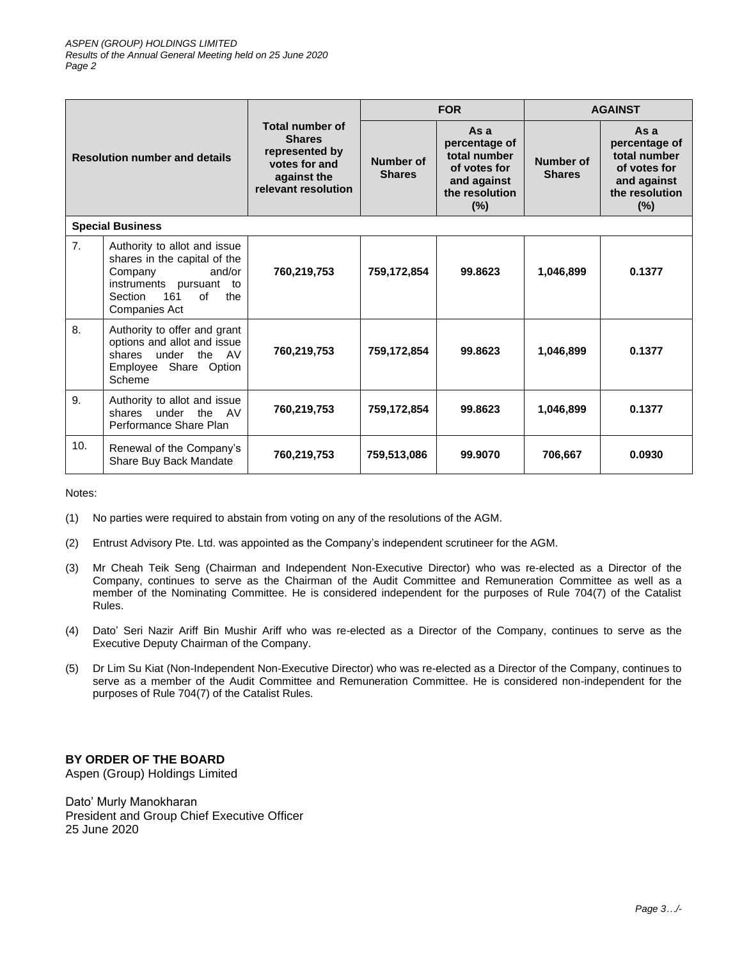| <b>Resolution number and details</b> |                                                                                                                                                              | <b>Total number of</b><br><b>Shares</b><br>represented by<br>votes for and<br>against the<br>relevant resolution | <b>FOR</b>                 |                                                                                                 | <b>AGAINST</b>             |                                                                                                 |  |  |
|--------------------------------------|--------------------------------------------------------------------------------------------------------------------------------------------------------------|------------------------------------------------------------------------------------------------------------------|----------------------------|-------------------------------------------------------------------------------------------------|----------------------------|-------------------------------------------------------------------------------------------------|--|--|
|                                      |                                                                                                                                                              |                                                                                                                  | Number of<br><b>Shares</b> | Asa<br>percentage of<br>total number<br>of votes for<br>and against<br>the resolution<br>$(\%)$ | Number of<br><b>Shares</b> | Asa<br>percentage of<br>total number<br>of votes for<br>and against<br>the resolution<br>$(\%)$ |  |  |
| <b>Special Business</b>              |                                                                                                                                                              |                                                                                                                  |                            |                                                                                                 |                            |                                                                                                 |  |  |
| 7.                                   | Authority to allot and issue<br>shares in the capital of the<br>and/or<br>Company<br>instruments pursuant to<br>161<br>Section<br>of<br>the<br>Companies Act | 760,219,753                                                                                                      | 759,172,854                | 99.8623                                                                                         | 1,046,899                  | 0.1377                                                                                          |  |  |
| 8.                                   | Authority to offer and grant<br>options and allot and issue<br>shares under the AV<br>Employee Share Option<br>Scheme                                        | 760,219,753                                                                                                      | 759,172,854                | 99.8623                                                                                         | 1,046,899                  | 0.1377                                                                                          |  |  |
| 9.                                   | Authority to allot and issue<br>shares under the AV<br>Performance Share Plan                                                                                | 760,219,753                                                                                                      | 759,172,854                | 99.8623                                                                                         | 1,046,899                  | 0.1377                                                                                          |  |  |
| 10.                                  | Renewal of the Company's<br>Share Buy Back Mandate                                                                                                           | 760,219,753                                                                                                      | 759,513,086                | 99.9070                                                                                         | 706,667                    | 0.0930                                                                                          |  |  |

Notes:

- (1) No parties were required to abstain from voting on any of the resolutions of the AGM.
- (2) Entrust Advisory Pte. Ltd. was appointed as the Company's independent scrutineer for the AGM.
- (3) Mr Cheah Teik Seng (Chairman and Independent Non-Executive Director) who was re-elected as a Director of the Company, continues to serve as the Chairman of the Audit Committee and Remuneration Committee as well as a member of the Nominating Committee. He is considered independent for the purposes of Rule 704(7) of the Catalist Rules.
- (4) Dato' Seri Nazir Ariff Bin Mushir Ariff who was re-elected as a Director of the Company, continues to serve as the Executive Deputy Chairman of the Company.
- (5) Dr Lim Su Kiat (Non-Independent Non-Executive Director) who was re-elected as a Director of the Company, continues to serve as a member of the Audit Committee and Remuneration Committee. He is considered non-independent for the purposes of Rule 704(7) of the Catalist Rules.

## **BY ORDER OF THE BOARD**

Aspen (Group) Holdings Limited

Dato' Murly Manokharan President and Group Chief Executive Officer 25 June 2020